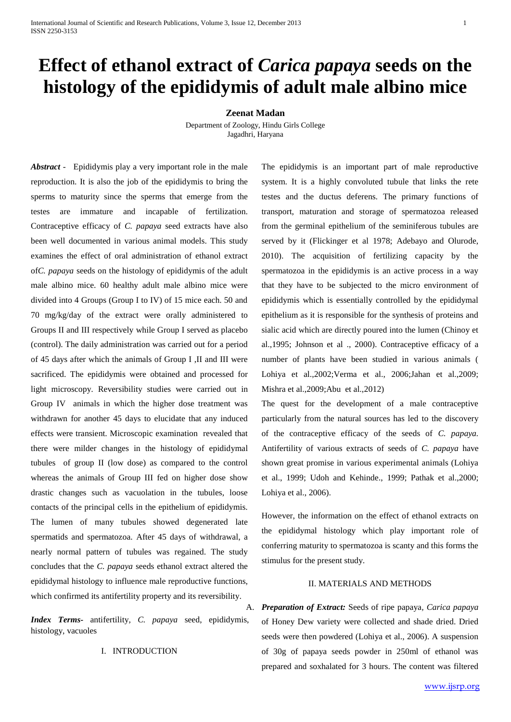# **Effect of ethanol extract of** *Carica papaya* **seeds on the histology of the epididymis of adult male albino mice**

#### **Zeenat Madan**

Department of Zoology, Hindu Girls College Jagadhri, Haryana

*Abstract* - Epididymis play a very important role in the male reproduction. It is also the job of the epididymis to bring the sperms to maturity since the sperms that emerge from the testes are immature and incapable of fertilization. Contraceptive efficacy of *C. papaya* seed extracts have also been well documented in various animal models. This study examines the effect of oral administration of ethanol extract of*C. papaya* seeds on the histology of epididymis of the adult male albino mice. 60 healthy adult male albino mice were divided into 4 Groups (Group I to IV) of 15 mice each. 50 and 70 mg/kg/day of the extract were orally administered to Groups II and III respectively while Group I served as placebo (control). The daily administration was carried out for a period of 45 days after which the animals of Group I ,II and III were sacrificed. The epididymis were obtained and processed for light microscopy. Reversibility studies were carried out in Group IV animals in which the higher dose treatment was withdrawn for another 45 days to elucidate that any induced effects were transient. Microscopic examination revealed that there were milder changes in the histology of epididymal tubules of group II (low dose) as compared to the control whereas the animals of Group III fed on higher dose show drastic changes such as vacuolation in the tubules, loose contacts of the principal cells in the epithelium of epididymis. The lumen of many tubules showed degenerated late spermatids and spermatozoa. After 45 days of withdrawal, a nearly normal pattern of tubules was regained. The study concludes that the *C. papaya* seeds ethanol extract altered the epididymal histology to influence male reproductive functions, which confirmed its antifertility property and its reversibility.

*Index Terms***-** antifertility*, C. papaya* seed, epididymis, histology, vacuoles

I. INTRODUCTION

The epididymis is an important part of male reproductive system. It is a highly convoluted tubule that links the rete testes and the ductus deferens. The primary functions of transport, maturation and storage of spermatozoa released from the germinal epithelium of the seminiferous tubules are served by it (Flickinger et al 1978; Adebayo and Olurode, 2010). The acquisition of fertilizing capacity by the spermatozoa in the epididymis is an active process in a way that they have to be subjected to the micro environment of epididymis which is essentially controlled by the epididymal epithelium as it is responsible for the synthesis of proteins and sialic acid which are directly poured into the lumen (Chinoy et al.,1995; Johnson et al ., 2000). Contraceptive efficacy of a number of plants have been studied in various animals ( Lohiya et al.,2002;Verma et al., 2006;Jahan et al.,2009; Mishra et al.,2009;Abu et al.,2012)

The quest for the development of a male contraceptive particularly from the natural sources has led to the discovery of the contraceptive efficacy of the seeds of *C. papaya.* Antifertility of various extracts of seeds of *C. papaya* have shown great promise in various experimental animals (Lohiya et al., 1999; Udoh and Kehinde., 1999; Pathak et al.,2000; Lohiya et al., 2006).

However, the information on the effect of ethanol extracts on the epididymal histology which play important role of conferring maturity to spermatozoa is scanty and this forms the stimulus for the present study.

### II. MATERIALS AND METHODS

A. *Preparation of Extract:* Seeds of ripe papaya*, Carica papaya*  of Honey Dew variety were collected and shade dried. Dried seeds were then powdered (Lohiya et al., 2006). A suspension of 30g of papaya seeds powder in 250ml of ethanol was prepared and soxhalated for 3 hours. The content was filtered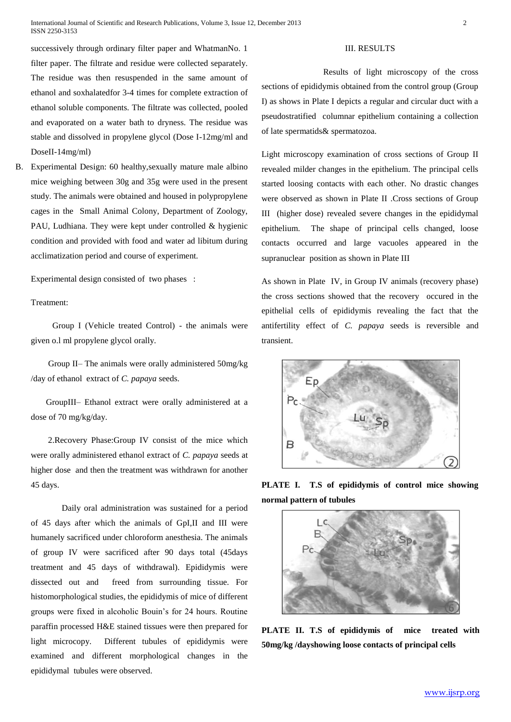successively through ordinary filter paper and WhatmanNo. 1 filter paper. The filtrate and residue were collected separately. The residue was then resuspended in the same amount of ethanol and soxhalatedfor 3-4 times for complete extraction of ethanol soluble components. The filtrate was collected, pooled and evaporated on a water bath to dryness. The residue was stable and dissolved in propylene glycol (Dose I-12mg/ml and DoseII-14mg/ml)

B. Experimental Design: 60 healthy,sexually mature male albino mice weighing between 30g and 35g were used in the present study. The animals were obtained and housed in polypropylene cages in the Small Animal Colony, Department of Zoology, PAU, Ludhiana. They were kept under controlled & hygienic condition and provided with food and water ad libitum during acclimatization period and course of experiment.

Experimental design consisted of two phases :

Treatment:

 Group I (Vehicle treated Control) - the animals were given o.l ml propylene glycol orally.

 Group II– The animals were orally administered 50mg/kg /day of ethanol extract of *C. papaya* seeds.

 GroupIII– Ethanol extract were orally administered at a dose of 70 mg/kg/day.

 2.Recovery Phase:Group IV consist of the mice which were orally administered ethanol extract of *C. papaya* seeds at higher dose and then the treatment was withdrawn for another 45 days.

Daily oral administration was sustained for a period of 45 days after which the animals of GpI,II and III were humanely sacrificed under chloroform anesthesia. The animals of group IV were sacrificed after 90 days total (45days treatment and 45 days of withdrawal). Epididymis were dissected out and freed from surrounding tissue. For histomorphological studies, the epididymis of mice of different groups were fixed in alcoholic Bouin's for 24 hours. Routine paraffin processed H&E stained tissues were then prepared for light microcopy. Different tubules of epididymis were examined and different morphological changes in the epididymal tubules were observed.

### III. RESULTS

Results of light microscopy of the cross sections of epididymis obtained from the control group (Group I) as shows in Plate I depicts a regular and circular duct with a pseudostratified columnar epithelium containing a collection of late spermatids& spermatozoa.

Light microscopy examination of cross sections of Group II revealed milder changes in the epithelium. The principal cells started loosing contacts with each other. No drastic changes were observed as shown in Plate II .Cross sections of Group III (higher dose) revealed severe changes in the epididymal epithelium. The shape of principal cells changed, loose contacts occurred and large vacuoles appeared in the supranuclear position as shown in Plate III

As shown in Plate IV, in Group IV animals (recovery phase) the cross sections showed that the recovery occured in the epithelial cells of epididymis revealing the fact that the antifertility effect of *C. papaya* seeds is reversible and transient.



**PLATE I. T.S of epididymis of control mice showing normal pattern of tubules**



**PLATE II. T.S of epididymis of mice treated with 50mg/kg /dayshowing loose contacts of principal cells**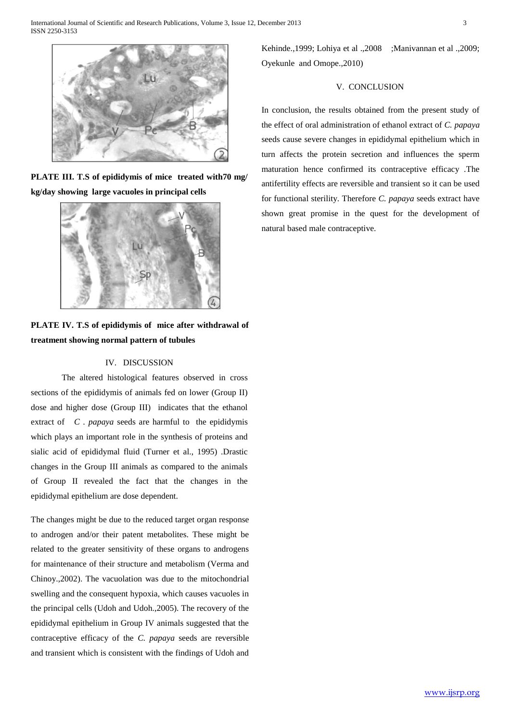

**PLATE III. T.S of epididymis of mice treated with70 mg/ kg/day showing large vacuoles in principal cells**



**PLATE IV. T.S of epididymis of mice after withdrawal of treatment showing normal pattern of tubules** 

## IV. DISCUSSION

The altered histological features observed in cross sections of the epididymis of animals fed on lower (Group II) dose and higher dose (Group III) indicates that the ethanol extract of *C . papaya* seeds are harmful to the epididymis which plays an important role in the synthesis of proteins and sialic acid of epididymal fluid (Turner et al., 1995) .Drastic changes in the Group III animals as compared to the animals of Group II revealed the fact that the changes in the epididymal epithelium are dose dependent.

The changes might be due to the reduced target organ response to androgen and/or their patent metabolites. These might be related to the greater sensitivity of these organs to androgens for maintenance of their structure and metabolism (Verma and Chinoy.,2002). The vacuolation was due to the mitochondrial swelling and the consequent hypoxia, which causes vacuoles in the principal cells (Udoh and Udoh.,2005). The recovery of the epididymal epithelium in Group IV animals suggested that the contraceptive efficacy of the *C. papaya* seeds are reversible and transient which is consistent with the findings of Udoh and Kehinde.,1999; Lohiya et al .,2008 ;Manivannan et al .,2009; Oyekunle and Omope.,2010)

#### V. CONCLUSION

In conclusion, the results obtained from the present study of the effect of oral administration of ethanol extract of *C. papaya* seeds cause severe changes in epididymal epithelium which in turn affects the protein secretion and influences the sperm maturation hence confirmed its contraceptive efficacy .The antifertility effects are reversible and transient so it can be used for functional sterility. Therefore *C. papaya* seeds extract have shown great promise in the quest for the development of natural based male contraceptive.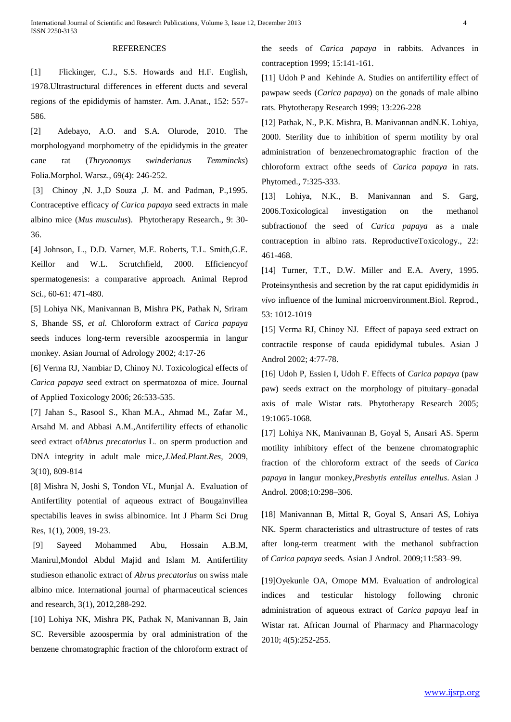## **REFERENCES**

[1] Flickinger, C.J., S.S. Howards and H.F. English, 1978.Ultrastructural differences in efferent ducts and several regions of the epididymis of hamster. Am. J.Anat., 152: 557- 586.

[2] Adebayo, A.O. and S.A. Olurode, 2010. The morphologyand morphometry of the epididymis in the greater cane rat (*Thryonomys swinderianus Temmincks*) Folia.Morphol. Warsz., 69(4): 246-252.

[3] Chinoy ,N. J.,D Souza ,J. M. and Padman, P.,1995. Contraceptive efficacy *of Carica papaya* seed extracts in male albino mice (*Mus musculus*). Phytotherapy Research., 9: 30- 36.

[4] Johnson, L., D.D. Varner, M.E. Roberts, T.L. Smith,G.E. Keillor and W.L. Scrutchfield, 2000. Efficiencyof spermatogenesis: a comparative approach. Animal Reprod Sci., 60-61: 471-480.

[5] Lohiya NK, Manivannan B, Mishra PK, Pathak N, Sriram S, Bhande SS, *et al.* Chloroform extract of *Carica papaya*  seeds induces long-term reversible azoospermia in langur monkey. Asian Journal of Adrology 2002; 4:17-26

[6] Verma RJ, Nambiar D, Chinoy NJ. Toxicological effects of *Carica papaya* seed extract on spermatozoa of mice. Journal of Applied Toxicology 2006; 26:533-535.

[7] Jahan S., Rasool S., Khan M.A., Ahmad M., Zafar M., Arsahd M. and Abbasi A.M.,Antifertility effects of ethanolic seed extract of*Abrus precatorius* L. on sperm production and DNA integrity in adult male mice,*J.Med.Plant.Res,* 2009, 3(10), 809-814

[8] Mishra N, Joshi S, Tondon VL, Munjal A. Evaluation of Antifertility potential of aqueous extract of Bougainvillea spectabilis leaves in swiss albinomice. Int J Pharm Sci Drug Res, 1(1), 2009, 19-23.

[9] Sayeed Mohammed Abu, Hossain A.B.M, Manirul,Mondol Abdul Majid and Islam M. Antifertility studieson ethanolic extract of *Abrus precatorius* on swiss male albino mice. International journal of pharmaceutical sciences and research, 3(1), 2012,288-292.

[10] Lohiya NK, Mishra PK, Pathak N, Manivannan B, Jain SC. Reversible azoospermia by oral administration of the benzene chromatographic fraction of the chloroform extract of

the seeds of *Carica papaya* in rabbits. Advances in contraception 1999; 15:141-161.

[11] Udoh P and Kehinde A. Studies on antifertility effect of pawpaw seeds (*Carica papaya*) on the gonads of male albino rats. Phytotherapy Research 1999; 13:226-228

[12] Pathak, N., P.K. Mishra, B. Manivannan andN.K. Lohiya, 2000. Sterility due to inhibition of sperm motility by oral administration of benzenechromatographic fraction of the chloroform extract ofthe seeds of *Carica papaya* in rats. Phytomed., 7:325-333.

[13] Lohiya, N.K., B. Manivannan and S. Garg, 2006.Toxicological investigation on the methanol subfractionof the seed of *Carica papaya* as a male contraception in albino rats. ReproductiveToxicology., 22: 461-468.

[14] Turner, T.T., D.W. Miller and E.A. Avery, 1995. Proteinsynthesis and secretion by the rat caput epididymidis *in vivo* influence of the luminal microenvironment.Biol. Reprod., 53: 1012-1019

[15] Verma RJ, Chinoy NJ. Effect of papaya seed extract on contractile response of cauda epididymal tubules. Asian J Androl 2002; 4:77-78.

[16] Udoh P, Essien I, Udoh F. Effects of *Carica papaya* (paw paw) seeds extract on the morphology of pituitary–gonadal axis of male Wistar rats. Phytotherapy Research 2005; 19:1065-1068.

[17] Lohiya NK, Manivannan B, Goyal S, Ansari AS. Sperm motility inhibitory effect of the benzene chromatographic fraction of the chloroform extract of the seeds of *Carica papaya* in langur monkey,*Presbytis entellus entellus*. Asian J Androl. 2008;10:298–306.

[18] Manivannan B, Mittal R, Goyal S, Ansari AS, Lohiya NK. Sperm characteristics and ultrastructure of testes of rats after long-term treatment with the methanol subfraction of *Carica papaya* seeds. Asian J Androl. 2009;11:583–99.

[19]Oyekunle OA, Omope MM. Evaluation of andrological indices and testicular histology following chronic administration of aqueous extract of *Carica papaya* leaf in Wistar rat. African Journal of Pharmacy and Pharmacology 2010; 4(5):252-255.